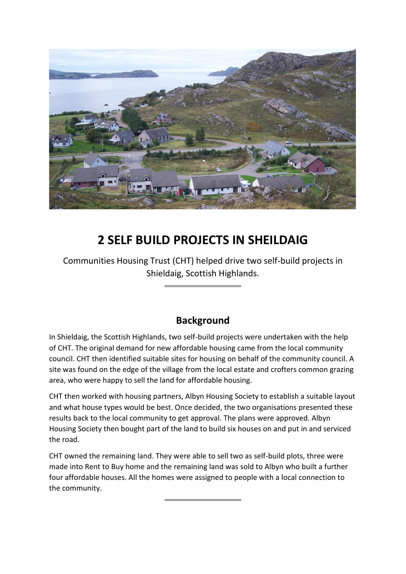

# **2 SELF BUILD PROJECTS IN SHEILDAIG**

Communities Housing Trust (CHT) helped drive two self-build projects in Shieldaig, Scottish Highlands.

### **Background**

In Shieldaig, the Scottish Highlands, two self-build projects were undertaken with the help of CHT. The original demand for new affordable housing came from the local community council. CHT then identified suitable sites for housing on behalf of the community council. A site was found on the edge of the village from the local estate and crofters common grazing area, who were happy to sell the land for affordable housing.

CHT then worked with housing partners, Albyn Housing Society to establish a suitable layout and what house types would be best. Once decided, the two organisations presented these results back to the local community to get approval. The plans were approved. Albyn Housing Society then bought part of the land to build six houses on and put in and serviced the road.

CHT owned the remaining land. They were able to sell two as self-build plots, three were made into Rent to Buy home and the remaining land was sold to Albyn who built a further four affordable houses. All the homes were assigned to people with a local connection to the community.